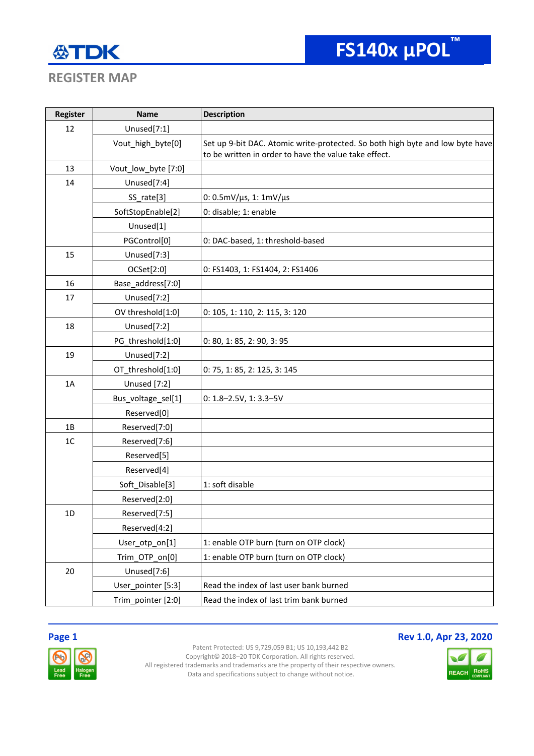# 公TDK

## **REGISTER MAP**

| Register | <b>Name</b>         | <b>Description</b>                                                            |
|----------|---------------------|-------------------------------------------------------------------------------|
| 12       | Unused[7:1]         |                                                                               |
|          | Vout_high_byte[0]   | Set up 9-bit DAC. Atomic write-protected. So both high byte and low byte have |
|          |                     | to be written in order to have the value take effect.                         |
| 13       | Vout_low_byte [7:0] |                                                                               |
| 14       | Unused[7:4]         |                                                                               |
|          | SS_rate[3]          | 0: $0.5$ mV/ $\mu$ s, 1: 1mV/ $\mu$ s                                         |
|          | SoftStopEnable[2]   | 0: disable; 1: enable                                                         |
|          | Unused[1]           |                                                                               |
|          | PGControl[0]        | 0: DAC-based, 1: threshold-based                                              |
| 15       | Unused[7:3]         |                                                                               |
|          | OCSet[2:0]          | 0: FS1403, 1: FS1404, 2: FS1406                                               |
| 16       | Base_address[7:0]   |                                                                               |
| 17       | Unused[7:2]         |                                                                               |
|          | OV threshold[1:0]   | 0: 105, 1: 110, 2: 115, 3: 120                                                |
| 18       | Unused[7:2]         |                                                                               |
|          | PG_threshold[1:0]   | 0: 80, 1: 85, 2: 90, 3: 95                                                    |
| 19       | Unused[7:2]         |                                                                               |
|          | OT_threshold[1:0]   | 0: 75, 1: 85, 2: 125, 3: 145                                                  |
| 1A       | Unused [7:2]        |                                                                               |
|          | Bus_voltage_sel[1]  | $0: 1.8 - 2.5V, 1: 3.3 - 5V$                                                  |
|          | Reserved[0]         |                                                                               |
| 1B       | Reserved[7:0]       |                                                                               |
| 1C       | Reserved[7:6]       |                                                                               |
|          | Reserved[5]         |                                                                               |
|          | Reserved[4]         |                                                                               |
|          | Soft Disable[3]     | 1: soft disable                                                               |
|          | Reserved[2:0]       |                                                                               |
| 1D       | Reserved[7:5]       |                                                                               |
|          | Reserved[4:2]       |                                                                               |
|          | User_otp_on[1]      | 1: enable OTP burn (turn on OTP clock)                                        |
|          | Trim_OTP_on[0]      | 1: enable OTP burn (turn on OTP clock)                                        |
| 20       | Unused[7:6]         |                                                                               |
|          | User_pointer [5:3]  | Read the index of last user bank burned                                       |
|          | Trim_pointer [2:0]  | Read the index of last trim bank burned                                       |

## **Page 1 Rev 1.0, Apr 23, 2020**



Patent Protected: US 9,729,059 B1; US 10,193,442 B2 Copyright© 2018–20 TDK Corporation. All rights reserved. All registered trademarks and trademarks are the property of their respective owners. Data and specifications subject to change without notice.